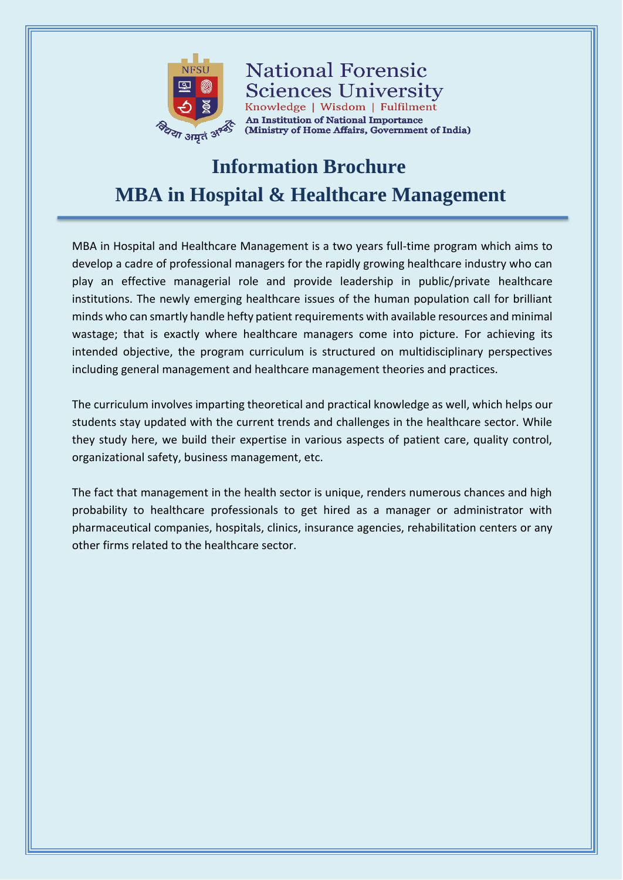

**National Forensic Sciences University** Knowledge | Wisdom | Fulfilment An Institution of National Importance (Ministry of Home Affairs, Government of India)

# **Information Brochure MBA in Hospital & Healthcare Management**

MBA in Hospital and Healthcare Management is a two years full-time program which aims to develop a cadre of professional managers for the rapidly growing healthcare industry who can play an effective managerial role and provide leadership in public/private healthcare institutions. The newly emerging healthcare issues of the human population call for brilliant minds who can smartly handle hefty patient requirements with available resources and minimal wastage; that is exactly where healthcare managers come into picture. For achieving its intended objective, the program curriculum is structured on multidisciplinary perspectives including general management and healthcare management theories and practices.

The curriculum involves imparting theoretical and practical knowledge as well, which helps our students stay updated with the current trends and challenges in the healthcare sector. While they study here, we build their expertise in various aspects of patient care, quality control, organizational safety, business management, etc.

The fact that management in the health sector is unique, renders numerous chances and high probability to healthcare professionals to get hired as a manager or administrator with pharmaceutical companies, hospitals, clinics, insurance agencies, rehabilitation centers or any other firms related to the healthcare sector.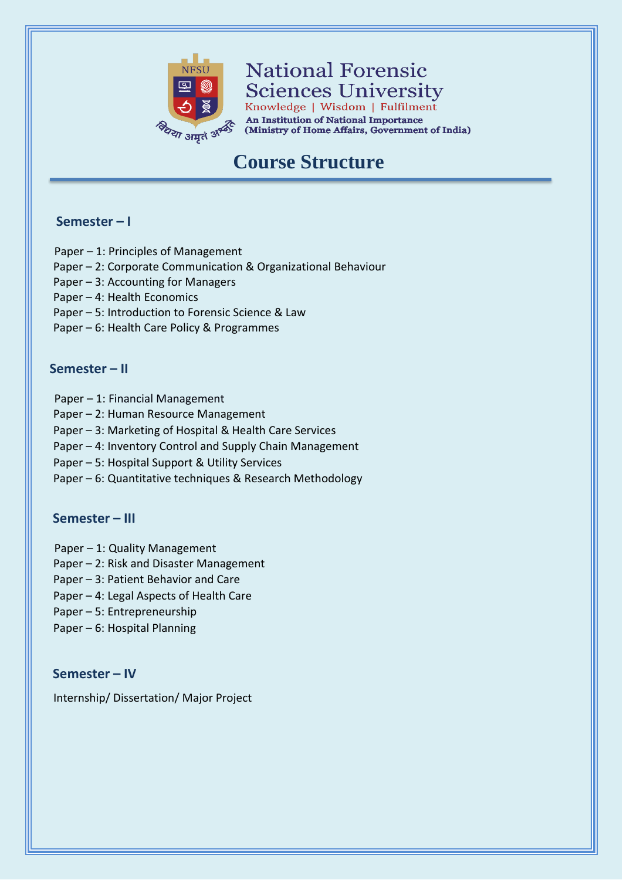

**National Forensic Sciences University** 

Knowledge | Wisdom | Fulfilment **An Institution of National Importance** (Ministry of Home Affairs, Government of India)

## **Course Structure**

## **Semester – I**

- Paper 1: Principles of Management
- Paper 2: Corporate Communication & Organizational Behaviour
- Paper 3: Accounting for Managers
- Paper 4: Health Economics
- Paper 5: Introduction to Forensic Science & Law
- Paper 6: Health Care Policy & Programmes

### **Semester – II**

- Paper 1: Financial Management
- Paper 2: Human Resource Management
- Paper 3: Marketing of Hospital & Health Care Services
- Paper 4: Inventory Control and Supply Chain Management
- Paper 5: Hospital Support & Utility Services
- Paper 6: Quantitative techniques & Research Methodology

## **Semester – III**

- Paper 1: Quality Management
- Paper 2: Risk and Disaster Management
- Paper 3: Patient Behavior and Care
- Paper 4: Legal Aspects of Health Care
- Paper 5: Entrepreneurship
- Paper 6: Hospital Planning

## **Semester – IV**

Internship/ Dissertation/ Major Project